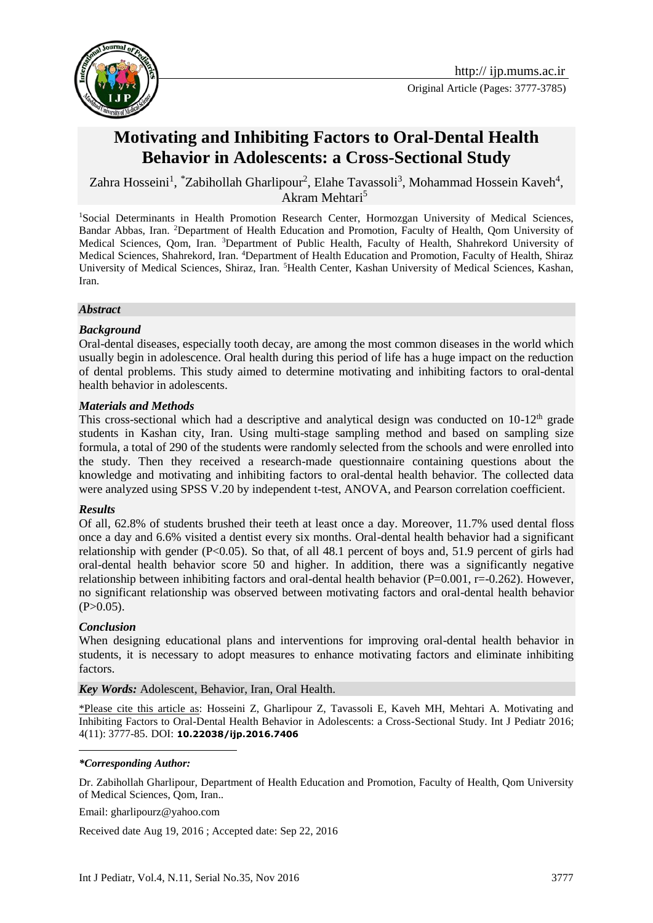

# **Motivating and Inhibiting Factors to Oral-Dental Health Behavior in Adolescents: a Cross-Sectional Study**

Zahra Hosseini<sup>1</sup>, \*Zabihollah Gharlipour<sup>2</sup>, Elahe Tavassoli<sup>3</sup>, Mohammad Hossein Kaveh<sup>4</sup>, Akram Mehtari<sup>5</sup>

<sup>1</sup>Social Determinants in Health Promotion Research Center, Hormozgan University of Medical Sciences, Bandar Abbas, Iran. <sup>2</sup>Department of Health Education and Promotion, Faculty of Health, Qom University of Medical Sciences, Qom, Iran. <sup>3</sup>Department of Public Health, Faculty of Health, Shahrekord University of Medical Sciences, Shahrekord, Iran. <sup>4</sup>Department of Health Education and Promotion, Faculty of Health, Shiraz University of Medical Sciences, Shiraz, Iran. <sup>5</sup>Health Center, Kashan University of Medical Sciences, Kashan, Iran.

#### *Abstract*

#### *Background*

Oral-dental diseases, especially tooth decay, are among the most common diseases in the world which usually begin in adolescence. Oral health during this period of life has a huge impact on the reduction of dental problems. This study aimed to determine motivating and inhibiting factors to oral-dental health behavior in adolescents.

#### *Materials and Methods*

This cross-sectional which had a descriptive and analytical design was conducted on  $10-12<sup>th</sup>$  grade students in Kashan city, Iran. Using multi-stage sampling method and based on sampling size formula, a total of 290 of the students were randomly selected from the schools and were enrolled into the study. Then they received a research-made questionnaire containing questions about the knowledge and motivating and inhibiting factors to oral-dental health behavior. The collected data were analyzed using SPSS V.20 by independent t-test, ANOVA, and Pearson correlation coefficient.

## *Results*

Of all, 62.8% of students brushed their teeth at least once a day. Moreover, 11.7% used dental floss once a day and 6.6% visited a dentist every six months. Oral-dental health behavior had a significant relationship with gender (P<0.05). So that, of all 48.1 percent of boys and, 51.9 percent of girls had oral-dental health behavior score 50 and higher. In addition, there was a significantly negative relationship between inhibiting factors and oral-dental health behavior  $(P=0.001, r=-0.262)$ . However, no significant relationship was observed between motivating factors and oral-dental health behavior  $(P>0.05)$ .

## *Conclusion*

<u>.</u>

When designing educational plans and interventions for improving oral-dental health behavior in students, it is necessary to adopt measures to enhance motivating factors and eliminate inhibiting factors.

#### *Key Words:* Adolescent, Behavior, Iran, Oral Health.

\*Please cite this article as: Hosseini Z, Gharlipour Z, Tavassoli E, Kaveh MH, Mehtari A. Motivating and Inhibiting Factors to Oral-Dental Health Behavior in Adolescents: a Cross-Sectional Study. Int J Pediatr 2016; 4(11): 3777-85. DOI: **10.22038/ijp.2016.7406**

#### *\*Corresponding Author:*

Dr. Zabihollah Gharlipour, Department of Health Education and Promotion, Faculty of Health, Qom University of Medical Sciences, Qom, Iran..

Email: gharlipourz@yahoo.com

Received date Aug 19, 2016 ; Accepted date: Sep 22, 2016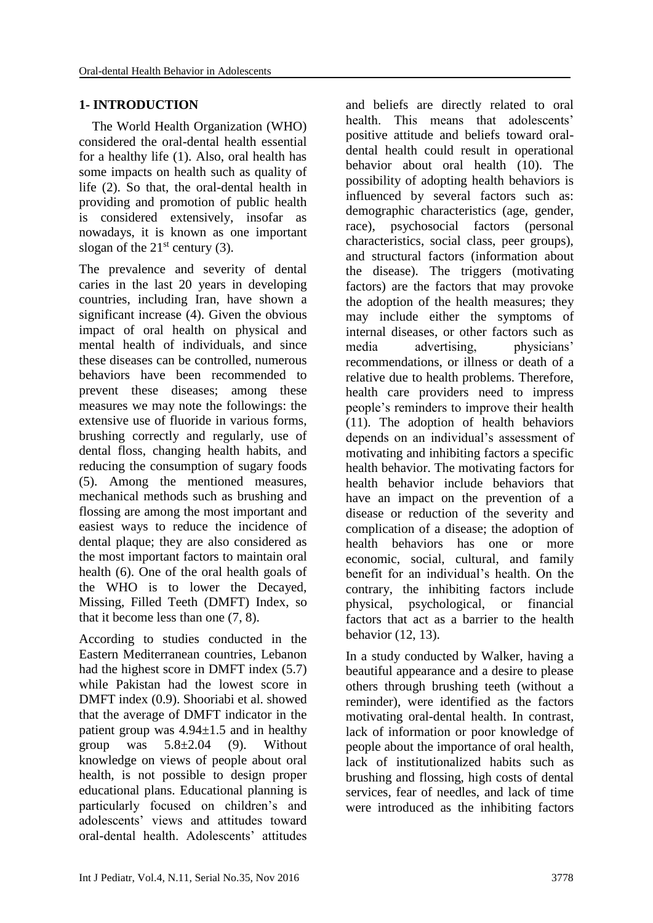# **1- INTRODUCTION**

 The World Health Organization (WHO) considered the oral-dental health essential for a healthy life (1). Also, oral health has some impacts on health such as quality of life (2). So that, the oral-dental health in providing and promotion of public health is considered extensively, insofar as nowadays, it is known as one important slogan of the  $21<sup>st</sup>$  century (3).

The prevalence and severity of dental caries in the last 20 years in developing countries, including Iran, have shown a significant increase (4). Given the obvious impact of oral health on physical and mental health of individuals, and since these diseases can be controlled, numerous behaviors have been recommended to prevent these diseases; among these measures we may note the followings: the extensive use of fluoride in various forms, brushing correctly and regularly, use of dental floss, changing health habits, and reducing the consumption of sugary foods (5). Among the mentioned measures, mechanical methods such as brushing and flossing are among the most important and easiest ways to reduce the incidence of dental plaque; they are also considered as the most important factors to maintain oral health (6). One of the oral health goals of the WHO is to lower the Decayed, Missing, Filled Teeth (DMFT) Index, so that it become less than one (7, 8).

According to studies conducted in the Eastern Mediterranean countries, Lebanon had the highest score in DMFT index (5.7) while Pakistan had the lowest score in DMFT index (0.9). Shooriabi et al. showed that the average of DMFT indicator in the patient group was  $4.94 \pm 1.5$  and in healthy group was  $5.8\pm2.04$  (9). Without knowledge on views of people about oral health, is not possible to design proper educational plans. Educational planning is particularly focused on children's and adolescents' views and attitudes toward oral-dental health. Adolescents' attitudes

and beliefs are directly related to oral health. This means that adolescents' positive attitude and beliefs toward oraldental health could result in operational behavior about oral health (10). The possibility of adopting health behaviors is influenced by several factors such as: demographic characteristics (age, gender, race), psychosocial factors (personal characteristics, social class, peer groups), and structural factors (information about the disease). The triggers (motivating factors) are the factors that may provoke the adoption of the health measures; they may include either the symptoms of internal diseases, or other factors such as media advertising, physicians' recommendations, or illness or death of a relative due to health problems. Therefore, health care providers need to impress people's reminders to improve their health (11). The adoption of health behaviors depends on an individual's assessment of motivating and inhibiting factors a specific health behavior. The motivating factors for health behavior include behaviors that have an impact on the prevention of a disease or reduction of the severity and complication of a disease; the adoption of health behaviors has one or more economic, social, cultural, and family benefit for an individual's health. On the contrary, the inhibiting factors include physical, psychological, or financial factors that act as a barrier to the health behavior (12, 13).

In a study conducted by Walker, having a beautiful appearance and a desire to please others through brushing teeth (without a reminder), were identified as the factors motivating oral-dental health. In contrast, lack of information or poor knowledge of people about the importance of oral health, lack of institutionalized habits such as brushing and flossing, high costs of dental services, fear of needles, and lack of time were introduced as the inhibiting factors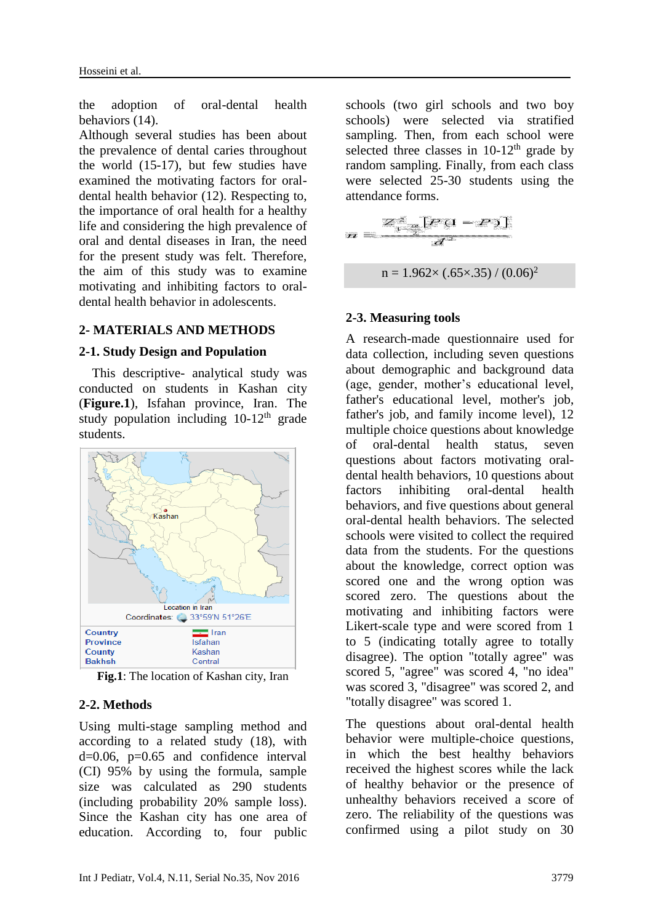the adoption of oral-dental health behaviors (14).

Although several studies has been about the prevalence of dental caries throughout the world (15-17), but few studies have examined the motivating factors for oraldental health behavior (12). Respecting to, the importance of oral health for a healthy life and considering the high prevalence of oral and dental diseases in Iran, the need for the present study was felt. Therefore, the aim of this study was to examine motivating and inhibiting factors to oraldental health behavior in adolescents.

## **2- MATERIALS AND METHODS**

#### **2-1. Study Design and Population**

 This descriptive- analytical study was conducted on students in Kashan city (**Figure.1**), Isfahan province, Iran. The study population including  $10-12<sup>th</sup>$  grade students.



**Fig.1**: The location of Kashan city, Iran

## **2-2. Methods**

Using multi-stage sampling method and according to a related study (18), with d=0.06, p=0.65 and confidence interval (CI) 95% by using the formula, sample size was calculated as 290 students (including probability 20% sample loss). Since the Kashan city has one area of education. According to, four public schools (two girl schools and two boy schools) were selected via stratified sampling. Then, from each school were selected three classes in  $10-12^{th}$  grade by random sampling. Finally, from each class were selected 25-30 students using the attendance forms.

$$
m = \frac{Z_{1-\frac{\alpha}{2}}^2 [P(1-P)]}{d^2}
$$

$$
n = 1.962 \times (.65 \times .35) / (0.06)^2
$$

## **2-3. Measuring tools**

A research-made questionnaire used for data collection, including seven questions about demographic and background data (age, gender, mother's educational level, father's educational level, mother's job, father's job, and family income level), 12 multiple choice questions about knowledge of oral-dental health status, seven questions about factors motivating oraldental health behaviors, 10 questions about factors inhibiting oral-dental health behaviors, and five questions about general oral-dental health behaviors. The selected schools were visited to collect the required data from the students. For the questions about the knowledge, correct option was scored one and the wrong option was scored zero. The questions about the motivating and inhibiting factors were Likert-scale type and were scored from 1 to 5 (indicating totally agree to totally disagree). The option "totally agree" was scored 5, "agree" was scored 4, "no idea" was scored 3, "disagree" was scored 2, and "totally disagree" was scored 1.

The questions about oral-dental health behavior were multiple-choice questions, in which the best healthy behaviors received the highest scores while the lack of healthy behavior or the presence of unhealthy behaviors received a score of zero. The reliability of the questions was confirmed using a pilot study on 30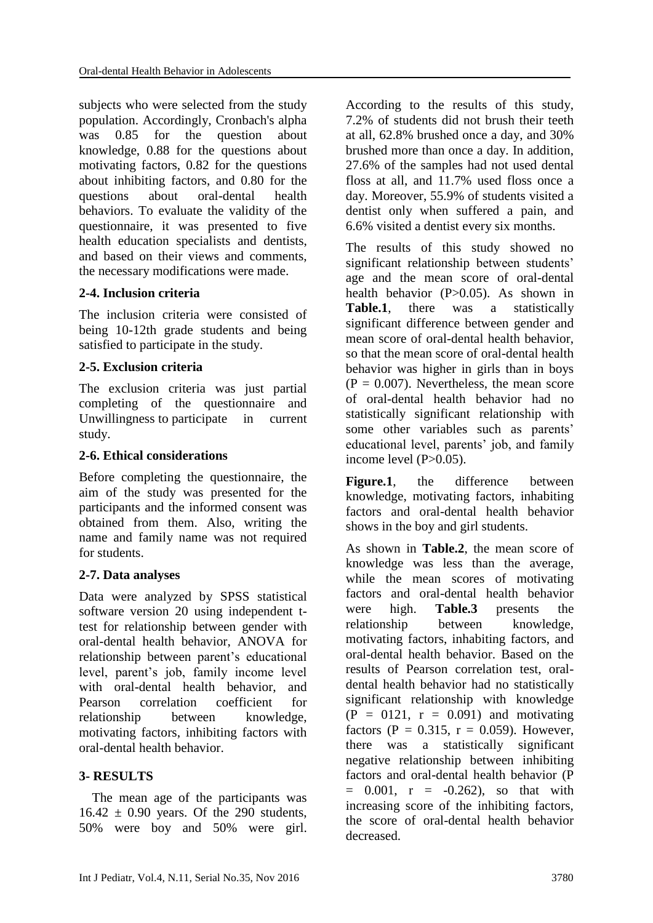subjects who were selected from the study population. Accordingly, Cronbach's alpha was 0.85 for the question about knowledge, 0.88 for the questions about motivating factors, 0.82 for the questions about inhibiting factors, and 0.80 for the questions about oral-dental health behaviors. To evaluate the validity of the questionnaire, it was presented to five health education specialists and dentists, and based on their views and comments, the necessary modifications were made.

# **2-4. Inclusion criteria**

The inclusion criteria were consisted of being 10-12th grade students and being satisfied to participate in the study.

# **2-5. Exclusion criteria**

The exclusion criteria was just partial completing of the questionnaire and Unwillingness to participate in current study.

# **2-6. Ethical considerations**

Before completing the questionnaire, the aim of the study was presented for the participants and the informed consent was obtained from them. Also, writing the name and family name was not required for students.

# **2-7. Data analyses**

Data were analyzed by SPSS statistical software version 20 using independent ttest for relationship between gender with oral-dental health behavior, ANOVA for relationship between parent's educational level, parent's job, family income level with oral-dental health behavior, and Pearson correlation coefficient for relationship between knowledge, motivating factors, inhibiting factors with oral-dental health behavior.

# **3- RESULTS**

 The mean age of the participants was  $16.42 \pm 0.90$  years. Of the 290 students, 50% were boy and 50% were girl. According to the results of this study, 7.2% of students did not brush their teeth at all, 62.8% brushed once a day, and 30% brushed more than once a day. In addition, 27.6% of the samples had not used dental floss at all, and 11.7% used floss once a day. Moreover, 55.9% of students visited a dentist only when suffered a pain, and 6.6% visited a dentist every six months.

The results of this study showed no significant relationship between students' age and the mean score of oral-dental health behavior (P>0.05). As shown in **Table.1**, there was a statistically significant difference between gender and mean score of oral-dental health behavior, so that the mean score of oral-dental health behavior was higher in girls than in boys  $(P = 0.007)$ . Nevertheless, the mean score of oral-dental health behavior had no statistically significant relationship with some other variables such as parents' educational level, parents' job, and family income level  $(P>0.05)$ .

**Figure.1**, the difference between knowledge, motivating factors, inhabiting factors and oral-dental health behavior shows in the boy and girl students.

As shown in **Table.2**, the mean score of knowledge was less than the average, while the mean scores of motivating factors and oral-dental health behavior were high. **Table.3** presents the relationship between knowledge, motivating factors, inhabiting factors, and oral-dental health behavior. Based on the results of Pearson correlation test, oraldental health behavior had no statistically significant relationship with knowledge  $(P = 0121, r = 0.091)$  and motivating factors (P =  $0.315$ , r = 0.059). However, there was a statistically significant negative relationship between inhibiting factors and oral-dental health behavior (P  $= 0.001$ ,  $r = -0.262$ ), so that with increasing score of the inhibiting factors, the score of oral-dental health behavior decreased.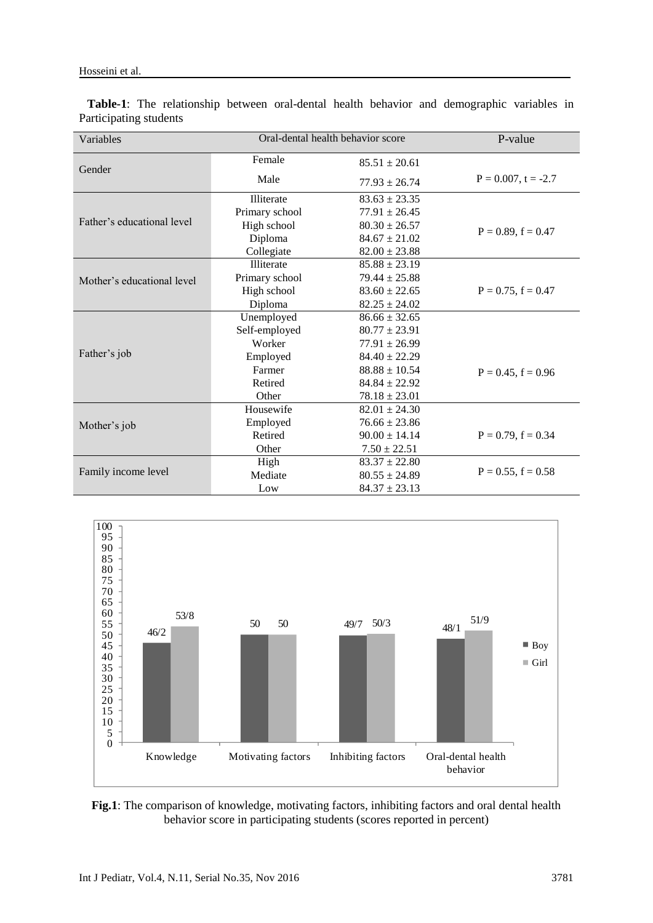| Variables                  | Oral-dental health behavior score |                   | P-value                 |  |
|----------------------------|-----------------------------------|-------------------|-------------------------|--|
| Gender                     | Female                            | $85.51 \pm 20.61$ |                         |  |
|                            | Male                              | $77.93 \pm 26.74$ | $P = 0.007$ , t = -2.7  |  |
|                            | Illiterate                        | $83.63 \pm 23.35$ |                         |  |
|                            | Primary school                    | $77.91 \pm 26.45$ |                         |  |
| Father's educational level | High school                       | $80.30 \pm 26.57$ | $P = 0.89$ , $f = 0.47$ |  |
|                            | Diploma                           | $84.67 \pm 21.02$ |                         |  |
|                            | Collegiate                        | $82.00 \pm 23.88$ |                         |  |
|                            | Illiterate                        | $85.88 \pm 23.19$ |                         |  |
| Mother's educational level | Primary school                    | $79.44 \pm 25.88$ |                         |  |
|                            | High school                       | $83.60 \pm 22.65$ | $P = 0.75$ , $f = 0.47$ |  |
|                            | Diploma                           | $82.25 \pm 24.02$ |                         |  |
|                            | Unemployed                        | $86.66 \pm 32.65$ |                         |  |
|                            | Self-employed                     | $80.77 \pm 23.91$ |                         |  |
|                            | Worker                            | $77.91 \pm 26.99$ |                         |  |
| Father's job               | Employed                          | $84.40 \pm 22.29$ |                         |  |
|                            | Farmer                            | $88.88 \pm 10.54$ | $P = 0.45$ , $f = 0.96$ |  |
|                            | Retired                           | $84.84 \pm 22.92$ |                         |  |
|                            | Other                             | $78.18 \pm 23.01$ |                         |  |
| Mother's job               | Housewife                         | $82.01 \pm 24.30$ |                         |  |
|                            | Employed                          | $76.66 \pm 23.86$ |                         |  |
|                            | Retired                           | $90.00 \pm 14.14$ | $P = 0.79$ , $f = 0.34$ |  |
|                            | Other                             | $7.50 \pm 22.51$  |                         |  |
| Family income level        | High                              | $83.37 \pm 22.80$ |                         |  |
|                            | Mediate                           | $80.55 \pm 24.89$ | $P = 0.55$ , $f = 0.58$ |  |
|                            | Low                               | $84.37 \pm 23.13$ |                         |  |

 **Table-1**: The relationship between oral-dental health behavior and demographic variables in Participating students



**Fig.1**: The comparison of knowledge, motivating factors, inhibiting factors and oral dental health behavior score in participating students (scores reported in percent)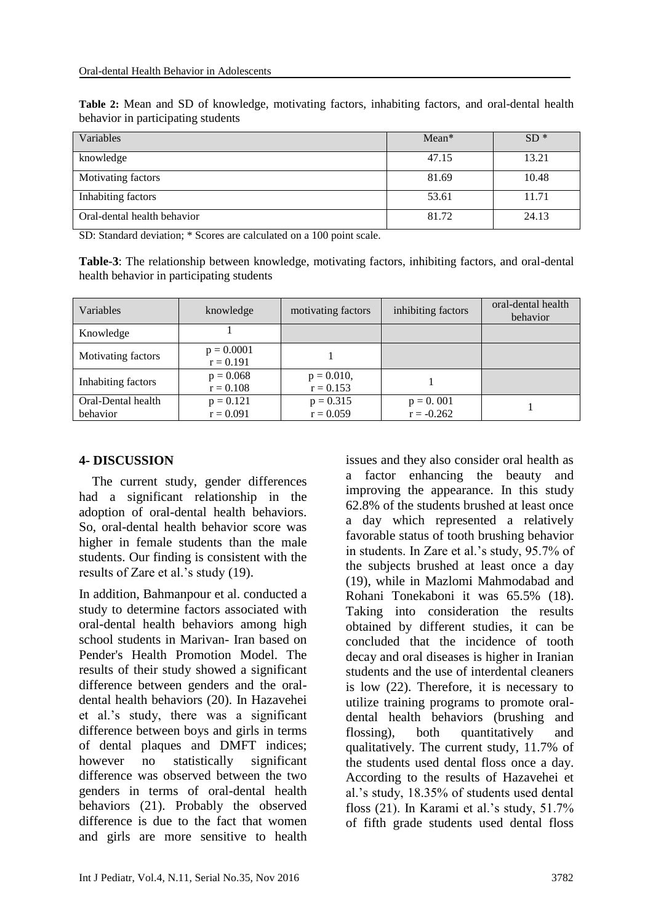| Table 2: Mean and SD of knowledge, motivating factors, inhabiting factors, and oral-dental health |  |  |
|---------------------------------------------------------------------------------------------------|--|--|
| behavior in participating students                                                                |  |  |

| Variables                   | $Mean*$ | $SD*$ |
|-----------------------------|---------|-------|
| knowledge                   | 47.15   | 13.21 |
| Motivating factors          | 81.69   | 10.48 |
| Inhabiting factors          | 53.61   | 11.71 |
| Oral-dental health behavior | 81.72   | 24.13 |

SD: Standard deviation; \* Scores are calculated on a 100 point scale.

**Table-3**: The relationship between knowledge, motivating factors, inhibiting factors, and oral-dental health behavior in participating students

| Variables          | knowledge                   | motivating factors           | inhibiting factors | oral-dental health<br>behavior |
|--------------------|-----------------------------|------------------------------|--------------------|--------------------------------|
| Knowledge          |                             |                              |                    |                                |
| Motivating factors | $p = 0.0001$<br>$r = 0.191$ |                              |                    |                                |
| Inhabiting factors | $p = 0.068$<br>$r = 0.108$  | $p = 0.010$ ,<br>$r = 0.153$ |                    |                                |
| Oral-Dental health | $p = 0.121$                 | $p = 0.315$                  | $p = 0.001$        |                                |
| behavior           | $r = 0.091$                 | $r = 0.059$                  | $r = -0.262$       |                                |

#### **4- DISCUSSION**

 The current study, gender differences had a significant relationship in the adoption of oral-dental health behaviors. So, oral-dental health behavior score was higher in female students than the male students. Our finding is consistent with the results of Zare et al.'s study (19).

In addition, Bahmanpour et al. conducted a study to determine factors associated with oral-dental health behaviors among high school students in Marivan- Iran based on Pender's Health Promotion Model. The results of their study showed a significant difference between genders and the oraldental health behaviors (20). In Hazavehei et al.'s study, there was a significant difference between boys and girls in terms of dental plaques and DMFT indices; however no statistically significant difference was observed between the two genders in terms of oral-dental health behaviors (21). Probably the observed difference is due to the fact that women and girls are more sensitive to health issues and they also consider oral health as a factor enhancing the beauty and improving the appearance. In this study 62.8% of the students brushed at least once a day which represented a relatively favorable status of tooth brushing behavior in students. In Zare et al.'s study, 95.7% of the subjects brushed at least once a day (19), while in Mazlomi Mahmodabad and Rohani Tonekaboni it was 65.5% (18). Taking into consideration the results obtained by different studies, it can be concluded that the incidence of tooth decay and oral diseases is higher in Iranian students and the use of interdental cleaners is low (22). Therefore, it is necessary to utilize training programs to promote oraldental health behaviors (brushing and flossing), both quantitatively and qualitatively. The current study, 11.7% of the students used dental floss once a day. According to the results of Hazavehei et al.'s study, 18.35% of students used dental floss (21). In Karami et al.'s study, 51.7% of fifth grade students used dental floss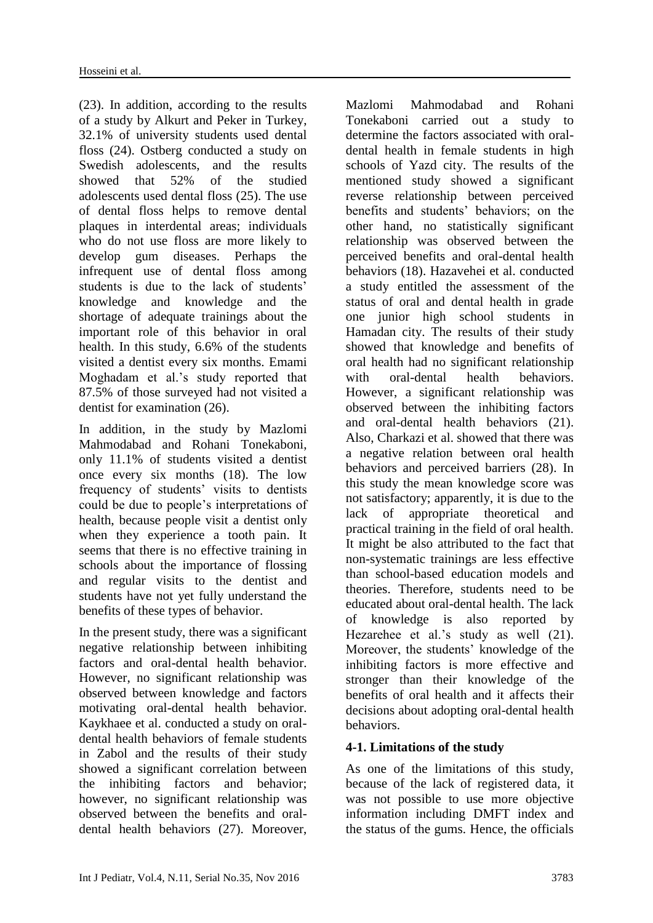(23). In addition, according to the results of a study by Alkurt and Peker in Turkey, 32.1% of university students used dental floss (24). Ostberg conducted a study on Swedish adolescents, and the results showed that 52% of the studied adolescents used dental floss (25). The use of dental floss helps to remove dental plaques in interdental areas; individuals who do not use floss are more likely to develop gum diseases. Perhaps the infrequent use of dental floss among students is due to the lack of students' knowledge and knowledge and the shortage of adequate trainings about the important role of this behavior in oral health. In this study, 6.6% of the students visited a dentist every six months. Emami Moghadam et al.'s study reported that 87.5% of those surveyed had not visited a dentist for examination (26).

In addition, in the study by Mazlomi Mahmodabad and Rohani Tonekaboni, only 11.1% of students visited a dentist once every six months (18). The low frequency of students' visits to dentists could be due to people's interpretations of health, because people visit a dentist only when they experience a tooth pain. It seems that there is no effective training in schools about the importance of flossing and regular visits to the dentist and students have not yet fully understand the benefits of these types of behavior.

In the present study, there was a significant negative relationship between inhibiting factors and oral-dental health behavior. However, no significant relationship was observed between knowledge and factors motivating oral-dental health behavior. Kaykhaee et al. conducted a study on oraldental health behaviors of female students in Zabol and the results of their study showed a significant correlation between the inhibiting factors and behavior; however, no significant relationship was observed between the benefits and oraldental health behaviors (27). Moreover, Mazlomi Mahmodabad and Rohani Tonekaboni carried out a study to determine the factors associated with oraldental health in female students in high schools of Yazd city. The results of the mentioned study showed a significant reverse relationship between perceived benefits and students' behaviors; on the other hand, no statistically significant relationship was observed between the perceived benefits and oral-dental health behaviors (18). Hazavehei et al. conducted a study entitled the assessment of the status of oral and dental health in grade one junior high school students in Hamadan city. The results of their study showed that knowledge and benefits of oral health had no significant relationship with oral-dental health behaviors. However, a significant relationship was observed between the inhibiting factors and oral-dental health behaviors (21). Also, Charkazi et al. showed that there was a negative relation between oral health behaviors and perceived barriers (28). In this study the mean knowledge score was not satisfactory; apparently, it is due to the lack of appropriate theoretical and practical training in the field of oral health. It might be also attributed to the fact that non-systematic trainings are less effective than school-based education models and theories. Therefore, students need to be educated about oral-dental health. The lack of knowledge is also reported by Hezarehee et al.'s study as well (21). Moreover, the students' knowledge of the inhibiting factors is more effective and stronger than their knowledge of the benefits of oral health and it affects their decisions about adopting oral-dental health behaviors.

# **4-1. Limitations of the study**

As one of the limitations of this study, because of the lack of registered data, it was not possible to use more objective information including DMFT index and the status of the gums. Hence, the officials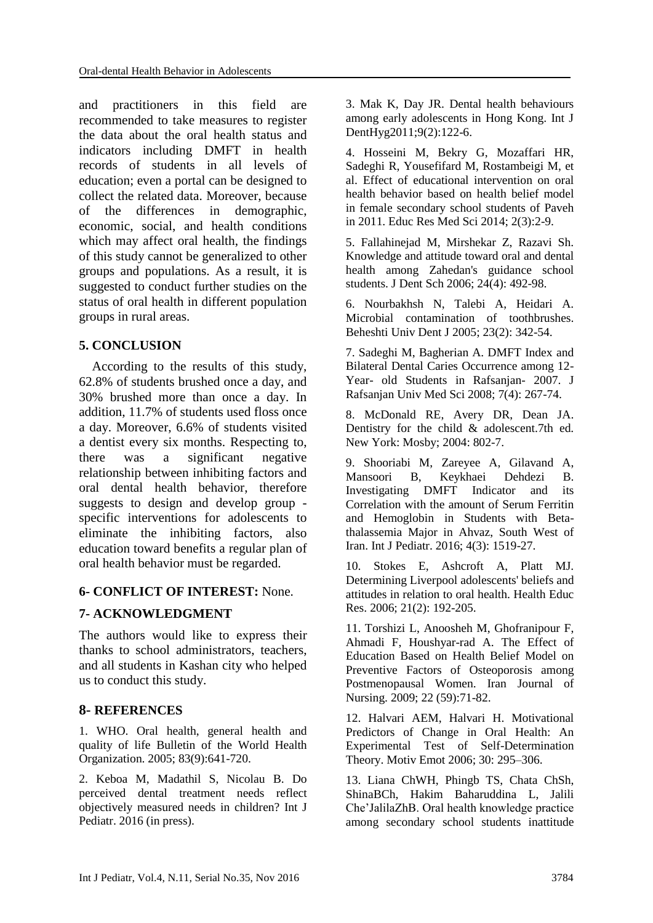and practitioners in this field are recommended to take measures to register the data about the oral health status and indicators including DMFT in health records of students in all levels of education; even a portal can be designed to collect the related data. Moreover, because of the differences in demographic, economic, social, and health conditions which may affect oral health, the findings of this study cannot be generalized to other groups and populations. As a result, it is suggested to conduct further studies on the status of oral health in different population groups in rural areas.

# **5. CONCLUSION**

 According to the results of this study, 62.8% of students brushed once a day, and 30% brushed more than once a day. In addition, 11.7% of students used floss once a day. Moreover, 6.6% of students visited a dentist every six months. Respecting to, there was a significant negative relationship between inhibiting factors and oral dental health behavior, therefore suggests to design and develop group specific interventions for adolescents to eliminate the inhibiting factors, also education toward benefits a regular plan of oral health behavior must be regarded.

## **6- CONFLICT OF INTEREST:** None.

## **7- ACKNOWLEDGMENT**

The authors would like to express their thanks to school administrators, teachers, and all students in Kashan city who helped us to conduct this study.

## **8- REFERENCES**

1. WHO. Oral health, general health and quality of life Bulletin of the World Health Organization. 2005; 83(9):641-720.

2. Keboa M, Madathil S, Nicolau B. Do perceived dental treatment needs reflect objectively measured needs in children? Int J Pediatr. 2016 (in press).

3. Mak K, Day JR. Dental health behaviours among early adolescents in Hong Kong. Int J DentHyg2011;9(2):122-6.

4. Hosseini M, Bekry G, Mozaffari HR, Sadeghi R, Yousefifard M, Rostambeigi M, et al. Effect of educational intervention on oral health behavior based on health belief model in female secondary school students of Paveh in 2011. Educ Res Med Sci 2014; 2(3):2-9.

5. Fallahinejad M, Mirshekar Z, Razavi Sh. Knowledge and attitude toward oral and dental health among Zahedan's guidance school students. J Dent Sch 2006; 24(4): 492-98.

6. Nourbakhsh N, Talebi A, Heidari A. Microbial contamination of toothbrushes. Beheshti Univ Dent J 2005; 23(2): 342-54.

7. Sadeghi M, Bagherian A. DMFT Index and Bilateral Dental Caries Occurrence among 12- Year- old Students in Rafsanjan- 2007. J Rafsanjan Univ Med Sci 2008; 7(4): 267-74.

8. McDonald RE, Avery DR, Dean JA. Dentistry for the child & adolescent.7th ed. New York: Mosby; 2004: 802-7.

9. Shooriabi M, Zareyee A, Gilavand A, Mansoori B, Keykhaei Dehdezi B. Investigating DMFT Indicator and its Correlation with the amount of Serum Ferritin and Hemoglobin in Students with Betathalassemia Major in Ahvaz, South West of Iran. Int J Pediatr. 2016; 4(3): 1519-27.

10. Stokes E, Ashcroft A, Platt MJ. Determining Liverpool adolescents' beliefs and attitudes in relation to oral health. Health Educ Res. 2006; 21(2): 192-205.

11. Torshizi L, Anoosheh M, Ghofranipour F, Ahmadi F, Houshyar-rad A. The Effect of Education Based on Health Belief Model on Preventive Factors of Osteoporosis among Postmenopausal Women. Iran Journal of Nursing. 2009; 22 (59):71-82.

12. Halvari AEM, Halvari H. Motivational Predictors of Change in Oral Health: An Experimental Test of Self-Determination Theory. Motiv Emot 2006; 30: 295–306.

13. Liana ChWH, Phingb TS, Chata ChSh, ShinaBCh, Hakim Baharuddina L, Jalili Che'JalilaZhB. Oral health knowledge practice among secondary school students inattitude